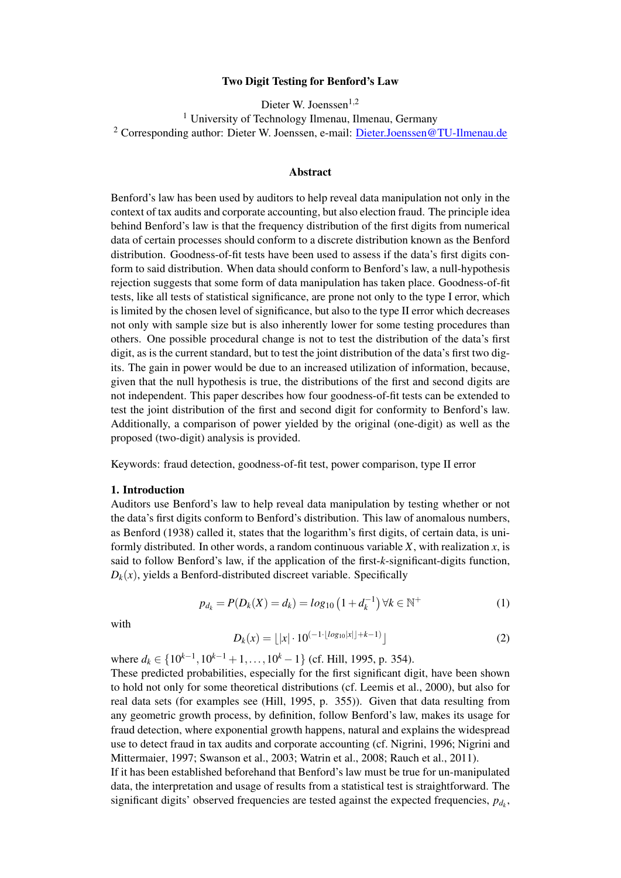### Two Digit Testing for Benford's Law

Dieter W. Joenssen<sup>1,2</sup> <sup>1</sup> University of Technology Ilmenau, Ilmenau, Germany <sup>2</sup> Corresponding author: Dieter W. Joenssen, e-mail: Dieter.Joenssen@TU-Ilmenau.de

#### Abstract

Benford's law has been used by auditors to help reveal data manipulation not only in the context of tax audits and corporate accounting, but also election fraud. The principle idea behind Benford's law is that the frequency distribution of the first digits from numerical data of certain processes should conform to a discrete distribution known as the Benford distribution. Goodness-of-fit tests have been used to assess if the data's first digits conform to said distribution. When data should conform to Benford's law, a null-hypothesis rejection suggests that some form of data manipulation has taken place. Goodness-of-fit tests, like all tests of statistical significance, are prone not only to the type I error, which is limited by the chosen level of significance, but also to the type II error which decreases not only with sample size but is also inherently lower for some testing procedures than others. One possible procedural change is not to test the distribution of the data's first digit, as is the current standard, but to test the joint distribution of the data's first two digits. The gain in power would be due to an increased utilization of information, because, given that the null hypothesis is true, the distributions of the first and second digits are not independent. This paper describes how four goodness-of-fit tests can be extended to test the joint distribution of the first and second digit for conformity to Benford's law. Additionally, a comparison of power yielded by the original (one-digit) as well as the proposed (two-digit) analysis is provided.

Keywords: fraud detection, goodness-of-fit test, power comparison, type II error

#### 1. Introduction

Auditors use Benford's law to help reveal data manipulation by testing whether or not the data's first digits conform to Benford's distribution. This law of anomalous numbers, as Benford (1938) called it, states that the logarithm's first digits, of certain data, is uniformly distributed. In other words, a random continuous variable *X*, with realization *x*, is said to follow Benford's law, if the application of the first-*k*-significant-digits function,  $D_k(x)$ , yields a Benford-distributed discreet variable. Specifically

$$
p_{d_k} = P(D_k(X) = d_k) = log_{10} (1 + d_k^{-1}) \forall k \in \mathbb{N}^+ \tag{1}
$$

with

$$
D_k(x) = \lfloor |x| \cdot 10^{(-1 \cdot \lfloor log_{10}|x| \rfloor + k - 1)} \rfloor \tag{2}
$$

where  $d_k$  ∈ {10<sup> $k-1$ </sup>, 10<sup> $k-1$ </sup> + 1, ..., 10<sup> $k$ </sup> − 1} (cf. Hill, 1995, p. 354).

These predicted probabilities, especially for the first significant digit, have been shown to hold not only for some theoretical distributions (cf. Leemis et al., 2000), but also for real data sets (for examples see (Hill, 1995, p. 355)). Given that data resulting from any geometric growth process, by definition, follow Benford's law, makes its usage for fraud detection, where exponential growth happens, natural and explains the widespread use to detect fraud in tax audits and corporate accounting (cf. Nigrini, 1996; Nigrini and Mittermaier, 1997; Swanson et al., 2003; Watrin et al., 2008; Rauch et al., 2011).

If it has been established beforehand that Benford's law must be true for un-manipulated data, the interpretation and usage of results from a statistical test is straightforward. The significant digits' observed frequencies are tested against the expected frequencies,  $p_{d_k}$ ,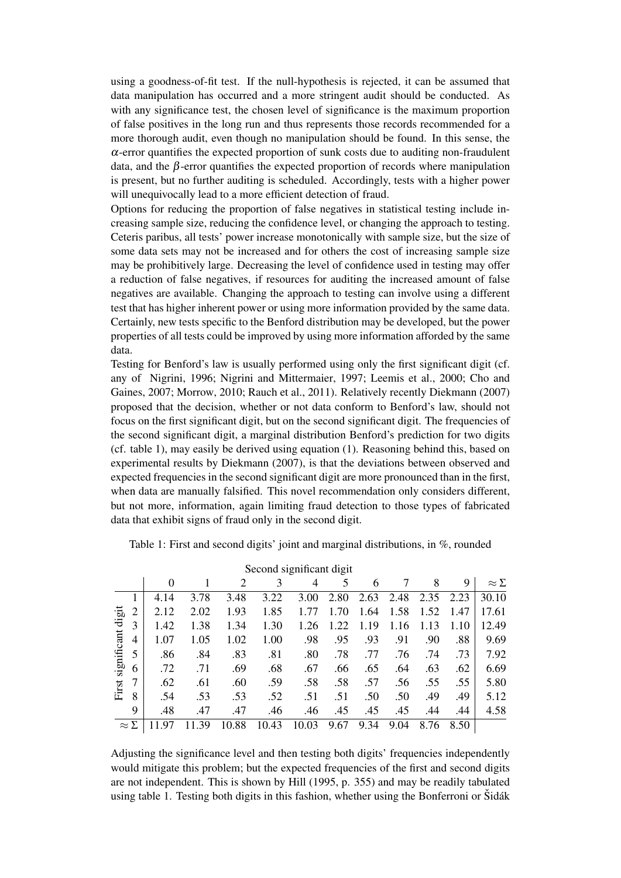using a goodness-of-fit test. If the null-hypothesis is rejected, it can be assumed that data manipulation has occurred and a more stringent audit should be conducted. As with any significance test, the chosen level of significance is the maximum proportion of false positives in the long run and thus represents those records recommended for a more thorough audit, even though no manipulation should be found. In this sense, the  $\alpha$ -error quantifies the expected proportion of sunk costs due to auditing non-fraudulent data, and the  $\beta$ -error quantifies the expected proportion of records where manipulation is present, but no further auditing is scheduled. Accordingly, tests with a higher power will unequivocally lead to a more efficient detection of fraud.

Options for reducing the proportion of false negatives in statistical testing include increasing sample size, reducing the confidence level, or changing the approach to testing. Ceteris paribus, all tests' power increase monotonically with sample size, but the size of some data sets may not be increased and for others the cost of increasing sample size may be prohibitively large. Decreasing the level of confidence used in testing may offer a reduction of false negatives, if resources for auditing the increased amount of false negatives are available. Changing the approach to testing can involve using a different test that has higher inherent power or using more information provided by the same data. Certainly, new tests specific to the Benford distribution may be developed, but the power properties of all tests could be improved by using more information afforded by the same data.

Testing for Benford's law is usually performed using only the first significant digit (cf. any of Nigrini, 1996; Nigrini and Mittermaier, 1997; Leemis et al., 2000; Cho and Gaines, 2007; Morrow, 2010; Rauch et al., 2011). Relatively recently Diekmann (2007) proposed that the decision, whether or not data conform to Benford's law, should not focus on the first significant digit, but on the second significant digit. The frequencies of the second significant digit, a marginal distribution Benford's prediction for two digits (cf. table 1), may easily be derived using equation (1). Reasoning behind this, based on experimental results by Diekmann (2007), is that the deviations between observed and expected frequencies in the second significant digit are more pronounced than in the first, when data are manually falsified. This novel recommendation only considers different, but not more, information, again limiting fraud detection to those types of fabricated data that exhibit signs of fraud only in the second digit.

| Second significant digit      |                |          |      |            |       |       |      |      |      |      |      |                 |
|-------------------------------|----------------|----------|------|------------|-------|-------|------|------|------|------|------|-----------------|
|                               |                | $\Omega$ |      | 2          | 3     | 4     | 5    | 6    |      | 8    | 9    | $\approx\Sigma$ |
| digit<br>significant<br>First |                | 4.14     | 3.78 | 3.48       | 3.22  | 3.00  | 2.80 | 2.63 | 2.48 | 2.35 | 2.23 | 30.10           |
|                               | 2              | 2.12     | 2.02 | 1.93       | 1.85  | 1.77  | 1.70 | 1.64 | 1.58 | 1.52 | 1.47 | 17.61           |
|                               | 3              | 1.42     | 1.38 | 1.34       | 1.30  | 1.26  | 1.22 | 1.19 | 1.16 | 1.13 | 1.10 | 12.49           |
|                               | $\overline{4}$ | 1.07     | 1.05 | 1.02       | 1.00  | .98   | .95  | .93  | .91  | .90  | .88  | 9.69            |
|                               | 5              | .86      | .84  | .83        | .81   | .80   | .78  | .77  | .76  | .74  | .73  | 7.92            |
|                               | 6              | .72      | .71  | .69        | .68   | .67   | .66  | .65  | .64  | .63  | .62  | 6.69            |
|                               | 7              | .62      | .61  | .60        | .59   | .58   | .58  | .57  | .56  | .55  | .55  | 5.80            |
|                               | 8              | .54      | .53  | .53        | .52   | .51   | .51  | .50  | .50  | .49  | .49  | 5.12            |
|                               | 9              | .48      | .47  | .47        | .46   | .46   | .45  | .45  | .45  | .44  | .44  | 4.58            |
| $\approx \Sigma$              |                | 1197     | .39  | .88<br>10. | 10.43 | 10.03 | 9.67 | 9.34 | 9.04 | 8.76 | 8.50 |                 |

Table 1: First and second digits' joint and marginal distributions, in %, rounded

Adjusting the significance level and then testing both digits' frequencies independently would mitigate this problem; but the expected frequencies of the first and second digits are not independent. This is shown by Hill (1995, p. 355) and may be readily tabulated using table 1. Testing both digits in this fashion, whether using the Bonferroni or  $\tilde{S}$ dák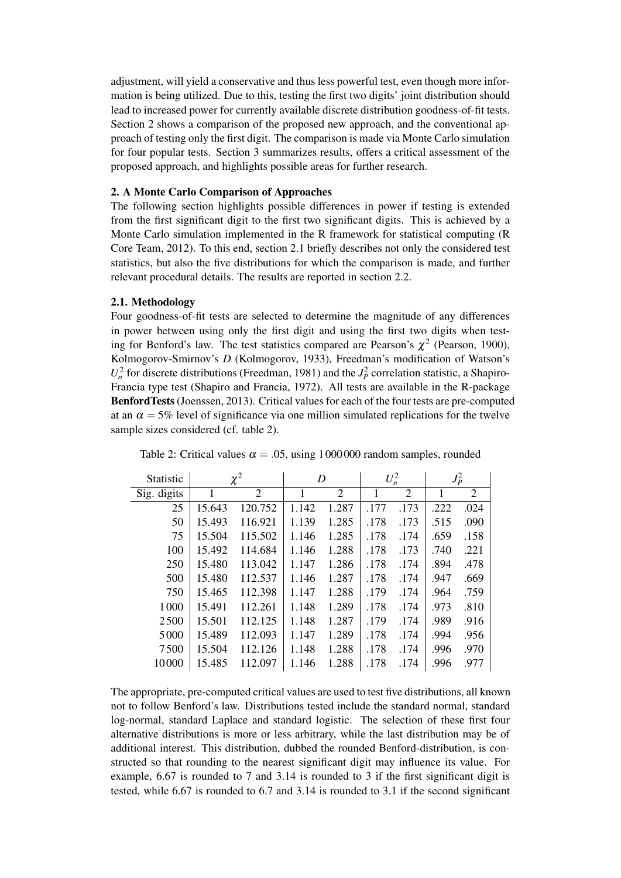adjustment, will yield a conservative and thus less powerful test, even though more information is being utilized. Due to this, testing the first two digits' joint distribution should lead to increased power for currently available discrete distribution goodness-of-fit tests. Section 2 shows a comparison of the proposed new approach, and the conventional approach of testing only the first digit. The comparison is made via Monte Carlo simulation for four popular tests. Section 3 summarizes results, offers a critical assessment of the proposed approach, and highlights possible areas for further research.

# 2. A Monte Carlo Comparison of Approaches

The following section highlights possible differences in power if testing is extended from the first significant digit to the first two significant digits. This is achieved by a Monte Carlo simulation implemented in the R framework for statistical computing (R Core Team, 2012). To this end, section 2.1 briefly describes not only the considered test statistics, but also the five distributions for which the comparison is made, and further relevant procedural details. The results are reported in section 2.2.

### 2.1. Methodology

Four goodness-of-fit tests are selected to determine the magnitude of any differences in power between using only the first digit and using the first two digits when testing for Benford's law. The test statistics compared are Pearson's  $\chi^2$  (Pearson, 1900), Kolmogorov-Smirnov's *D* (Kolmogorov, 1933), Freedman's modification of Watson's  $U_n^2$  for discrete distributions (Freedman, 1981) and the  $J_p^2$  correlation statistic, a Shapiro-Francia type test (Shapiro and Francia, 1972). All tests are available in the R-package BenfordTests(Joenssen, 2013). Critical values for each of the four tests are pre-computed at an  $\alpha = 5\%$  level of significance via one million simulated replications for the twelve sample sizes considered (cf. table 2).

| Statistic   |        | $\chi^2$       | D     |                |      | $U_n^2$ | $J_P^2$ |      |
|-------------|--------|----------------|-------|----------------|------|---------|---------|------|
| Sig. digits | 1      | $\overline{2}$ | 1     | $\overline{2}$ | 1    | 2       | 1       | 2    |
| 25          | 15.643 | 120.752        | 1.142 | 1.287          | .177 | .173    | .222    | .024 |
| 50          | 15.493 | 116.921        | 1.139 | 1.285          | .178 | .173    | .515    | .090 |
| 75          | 15.504 | 115.502        | 1.146 | 1.285          | .178 | .174    | .659    | .158 |
| 100         | 15.492 | 114.684        | 1.146 | 1.288          | .178 | .173    | .740    | .221 |
| 250         | 15.480 | 113.042        | 1.147 | 1.286          | .178 | .174    | .894    | .478 |
| 500         | 15.480 | 112.537        | 1.146 | 1.287          | .178 | .174    | .947    | .669 |
| 750         | 15.465 | 112.398        | 1.147 | 1.288          | .179 | .174    | .964    | .759 |
| 1000        | 15.491 | 112.261        | 1.148 | 1.289          | .178 | .174    | .973    | .810 |
| 2500        | 15.501 | 112.125        | 1.148 | 1.287          | .179 | .174    | .989    | .916 |
| 5000        | 15.489 | 112.093        | 1.147 | 1.289          | .178 | .174    | .994    | .956 |
| 7500        | 15.504 | 112.126        | 1.148 | 1.288          | .178 | .174    | .996    | .970 |
| 10000       | 15.485 | 112.097        | 1.146 | 1.288          | .178 | .174    | .996    | .977 |

Table 2: Critical values  $\alpha = .05$ , using 1000000 random samples, rounded

The appropriate, pre-computed critical values are used to test five distributions, all known not to follow Benford's law. Distributions tested include the standard normal, standard log-normal, standard Laplace and standard logistic. The selection of these first four alternative distributions is more or less arbitrary, while the last distribution may be of additional interest. This distribution, dubbed the rounded Benford-distribution, is constructed so that rounding to the nearest significant digit may influence its value. For example, 6.67 is rounded to 7 and 3.14 is rounded to 3 if the first significant digit is tested, while 6.67 is rounded to 6.7 and 3.14 is rounded to 3.1 if the second significant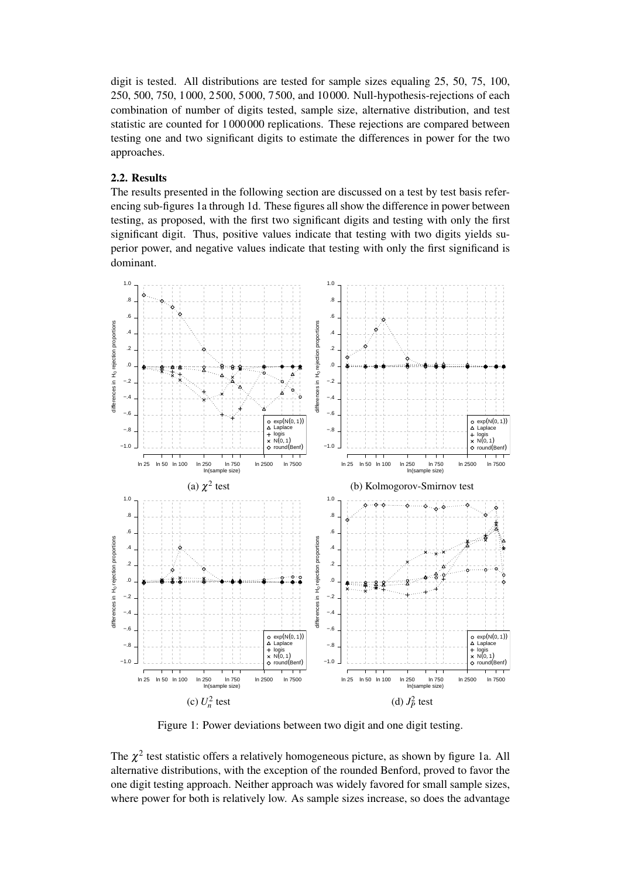digit is tested. All distributions are tested for sample sizes equaling 25, 50, 75, 100, 250, 500, 750, 1 000, 2 500, 5 000, 7 500, and 10 000. Null-hypothesis-rejections of each combination of number of digits tested, sample size, alternative distribution, and test statistic are counted for 1 000 000 replications. These rejections are compared between testing one and two significant digits to estimate the differences in power for the two approaches.

# 2.2. Results

The results presented in the following section are discussed on a test by test basis referencing sub-figures 1a through 1d. These figures all show the difference in power between testing, as proposed, with the first two significant digits and testing with only the first significant digit. Thus, positive values indicate that testing with two digits yields superior power, and negative values indicate that testing with only the first significand is dominant.



Figure 1: Power deviations between two digit and one digit testing.

The  $\chi^2$  test statistic offers a relatively homogeneous picture, as shown by figure 1a. All alternative distributions, with the exception of the rounded Benford, proved to favor the one digit testing approach. Neither approach was widely favored for small sample sizes, where power for both is relatively low. As sample sizes increase, so does the advantage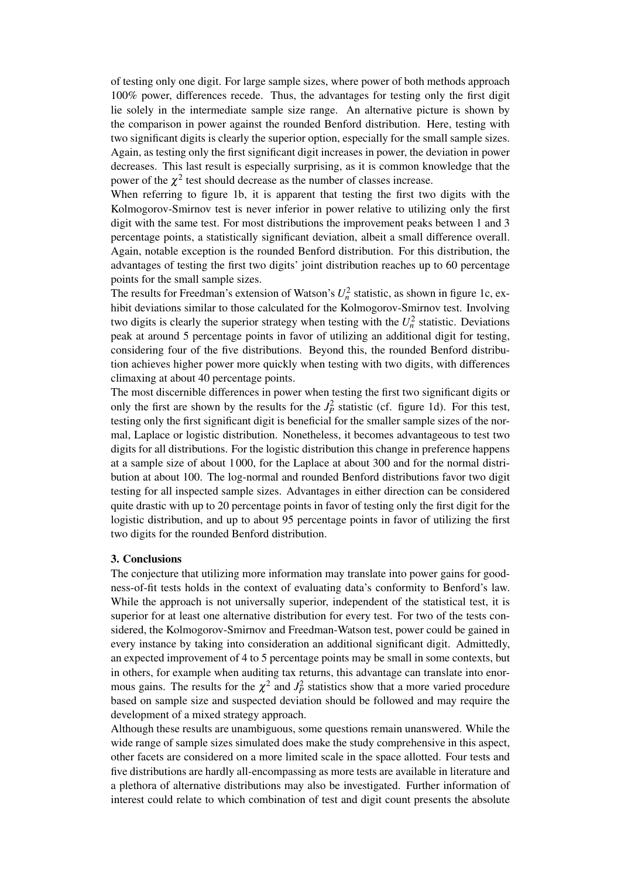of testing only one digit. For large sample sizes, where power of both methods approach 100% power, differences recede. Thus, the advantages for testing only the first digit lie solely in the intermediate sample size range. An alternative picture is shown by the comparison in power against the rounded Benford distribution. Here, testing with two significant digits is clearly the superior option, especially for the small sample sizes. Again, as testing only the first significant digit increases in power, the deviation in power decreases. This last result is especially surprising, as it is common knowledge that the power of the  $\chi^2$  test should decrease as the number of classes increase.

When referring to figure 1b, it is apparent that testing the first two digits with the Kolmogorov-Smirnov test is never inferior in power relative to utilizing only the first digit with the same test. For most distributions the improvement peaks between 1 and 3 percentage points, a statistically significant deviation, albeit a small difference overall. Again, notable exception is the rounded Benford distribution. For this distribution, the advantages of testing the first two digits' joint distribution reaches up to 60 percentage points for the small sample sizes.

The results for Freedman's extension of Watson's  $U_n^2$  statistic, as shown in figure 1c, exhibit deviations similar to those calculated for the Kolmogorov-Smirnov test. Involving two digits is clearly the superior strategy when testing with the  $U_n^2$  statistic. Deviations peak at around 5 percentage points in favor of utilizing an additional digit for testing, considering four of the five distributions. Beyond this, the rounded Benford distribution achieves higher power more quickly when testing with two digits, with differences climaxing at about 40 percentage points.

The most discernible differences in power when testing the first two significant digits or only the first are shown by the results for the  $J_P^2$  statistic (cf. figure 1d). For this test, testing only the first significant digit is beneficial for the smaller sample sizes of the normal, Laplace or logistic distribution. Nonetheless, it becomes advantageous to test two digits for all distributions. For the logistic distribution this change in preference happens at a sample size of about 1 000, for the Laplace at about 300 and for the normal distribution at about 100. The log-normal and rounded Benford distributions favor two digit testing for all inspected sample sizes. Advantages in either direction can be considered quite drastic with up to 20 percentage points in favor of testing only the first digit for the logistic distribution, and up to about 95 percentage points in favor of utilizing the first two digits for the rounded Benford distribution.

### 3. Conclusions

The conjecture that utilizing more information may translate into power gains for goodness-of-fit tests holds in the context of evaluating data's conformity to Benford's law. While the approach is not universally superior, independent of the statistical test, it is superior for at least one alternative distribution for every test. For two of the tests considered, the Kolmogorov-Smirnov and Freedman-Watson test, power could be gained in every instance by taking into consideration an additional significant digit. Admittedly, an expected improvement of 4 to 5 percentage points may be small in some contexts, but in others, for example when auditing tax returns, this advantage can translate into enormous gains. The results for the  $\chi^2$  and  $J_P^2$  statistics show that a more varied procedure based on sample size and suspected deviation should be followed and may require the development of a mixed strategy approach.

Although these results are unambiguous, some questions remain unanswered. While the wide range of sample sizes simulated does make the study comprehensive in this aspect, other facets are considered on a more limited scale in the space allotted. Four tests and five distributions are hardly all-encompassing as more tests are available in literature and a plethora of alternative distributions may also be investigated. Further information of interest could relate to which combination of test and digit count presents the absolute